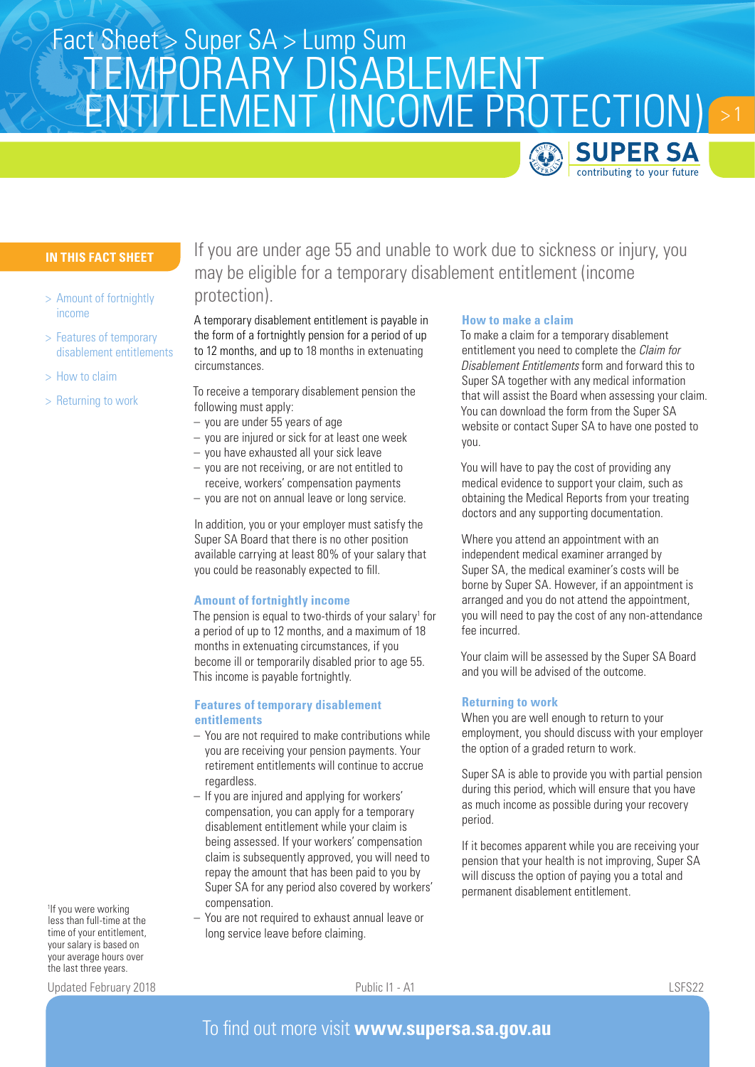# Fact Sheet > Super SA > Lump Sum TEMPORARY DISABLEMENT ENTITLEMENT (INCOME PROTECTION) **SUPER SA**

## **IN THIS FACT SHEET**

- > Amount of fortnightly income
- > Features of temporary disablement entitlements
- > How to claim
- > Returning to work

If you are under age 55 and unable to work due to sickness or injury, you may be eligible for a temporary disablement entitlement (income protection).

A temporary disablement entitlement is payable in the form of a fortnightly pension for a period of up to 12 months, and up to 18 months in extenuating circumstances.

To receive a temporary disablement pension the following must apply:

- you are under 55 years of age
- you are injured or sick for at least one week
- you have exhausted all your sick leave
- you are not receiving, or are not entitled to receive, workers' compensation payments
- you are not on annual leave or long service.

In addition, you or your employer must satisfy the Super SA Board that there is no other position available carrying at least 80% of your salary that you could be reasonably expected to fill.

#### **Amount of fortnightly income**

The pension is equal to two-thirds of your salary<sup>1</sup> for a period of up to 12 months, and a maximum of 18 months in extenuating circumstances, if you become ill or temporarily disabled prior to age 55. This income is payable fortnightly.

### **Features of temporary disablement entitlements**

- You are not required to make contributions while you are receiving your pension payments. Your retirement entitlements will continue to accrue regardless.
- If you are injured and applying for workers' compensation, you can apply for a temporary disablement entitlement while your claim is being assessed. If your workers' compensation claim is subsequently approved, you will need to repay the amount that has been paid to you by Super SA for any period also covered by workers' compensation.
- You are not required to exhaust annual leave or long service leave before claiming.

#### **How to make a claim**

To make a claim for a temporary disablement entitlement you need to complete the *Claim for Disablement Entitlements* form and forward this to Super SA together with any medical information that will assist the Board when assessing your claim. You can download the form from the Super SA website or contact Super SA to have one posted to you.

contributing to your future

You will have to pay the cost of providing any medical evidence to support your claim, such as obtaining the Medical Reports from your treating doctors and any supporting documentation.

Where you attend an appointment with an independent medical examiner arranged by Super SA, the medical examiner's costs will be borne by Super SA. However, if an appointment is arranged and you do not attend the appointment, you will need to pay the cost of any non-attendance fee incurred.

Your claim will be assessed by the Super SA Board and you will be advised of the outcome.

## **Returning to work**

When you are well enough to return to your employment, you should discuss with your employer the option of a graded return to work.

Super SA is able to provide you with partial pension during this period, which will ensure that you have as much income as possible during your recovery period.

If it becomes apparent while you are receiving your pension that your health is not improving, Super SA will discuss the option of paying you a total and permanent disablement entitlement.

1 If you were working less than full-time at the time of your entitlement, your salary is based on your average hours over the last three years.

Updated February 2018 Public I1 - A1 LSFS22